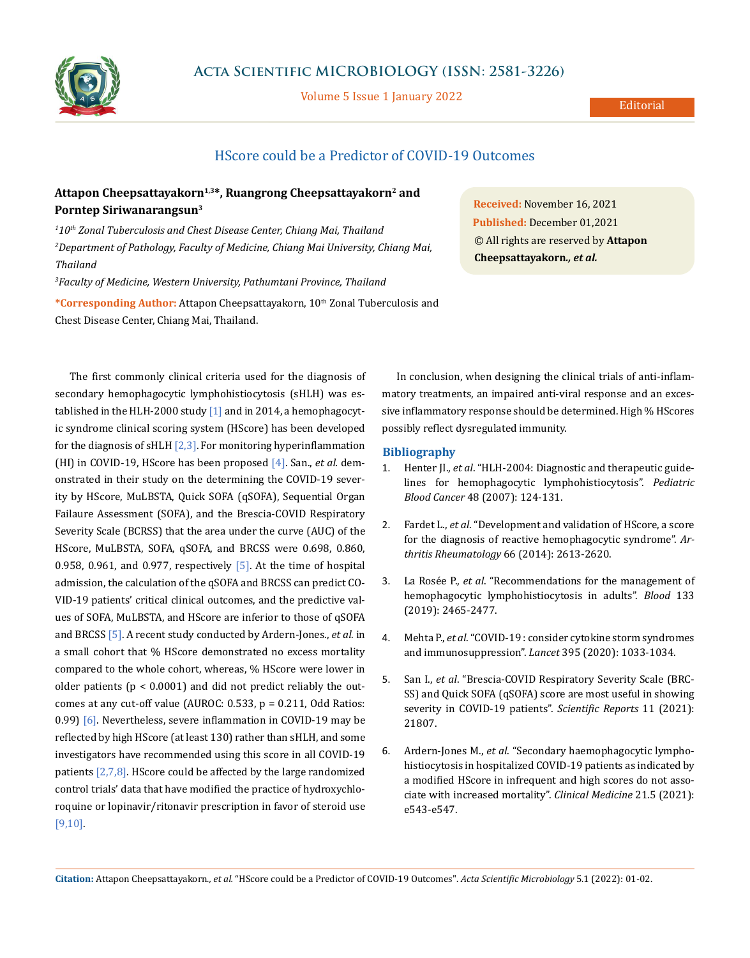

## **Acta Scientific MICROBIOLOGY (ISSN: 2581-3226)**

Volume 5 Issue 1 January 2022

## HScore could be a Predictor of COVID-19 Outcomes

## Attapon Cheepsattayakorn<sup>1,3\*</sup>, Ruangrong Cheepsattayakorn<sup>2</sup> and **Porntep Siriwanarangsun3**

*1 10th Zonal Tuberculosis and Chest Disease Center, Chiang Mai, Thailand 2 Department of Pathology, Faculty of Medicine, Chiang Mai University, Chiang Mai, Thailand*

*3 Faculty of Medicine, Western University, Pathumtani Province, Thailand*

**\*Corresponding Author:** Attapon Cheepsattayakorn, 10th Zonal Tuberculosis and Chest Disease Center, Chiang Mai, Thailand.

**Received:** November 16, 2021 **Published:** December 01,2021 © All rights are reserved by **Attapon Cheepsattayakorn***., et al.*

The first commonly clinical criteria used for the diagnosis of secondary hemophagocytic lymphohistiocytosis (sHLH) was established in the HLH-2000 study [1] and in 2014, a hemophagocytic syndrome clinical scoring system (HScore) has been developed for the diagnosis of sHLH  $[2,3]$ . For monitoring hyperinflammation (HI) in COVID-19, HScore has been proposed [4]. San., *et al.* demonstrated in their study on the determining the COVID-19 severity by HScore, MuLBSTA, Quick SOFA (qSOFA), Sequential Organ Failaure Assessment (SOFA), and the Brescia-COVID Respiratory Severity Scale (BCRSS) that the area under the curve (AUC) of the HScore, MuLBSTA, SOFA, qSOFA, and BRCSS were 0.698, 0.860, 0.958, 0.961, and 0.977, respectively  $[5]$ . At the time of hospital admission, the calculation of the qSOFA and BRCSS can predict CO-VID-19 patients' critical clinical outcomes, and the predictive values of SOFA, MuLBSTA, and HScore are inferior to those of qSOFA and BRCSS [5]. A recent study conducted by Ardern-Jones., *et al.* in a small cohort that % HScore demonstrated no excess mortality compared to the whole cohort, whereas, % HScore were lower in older patients (p < 0.0001) and did not predict reliably the outcomes at any cut-off value (AUROC: 0.533, p = 0.211, Odd Ratios: 0.99) [6]. Nevertheless, severe inflammation in COVID-19 may be reflected by high HScore (at least 130) rather than sHLH, and some investigators have recommended using this score in all COVID-19 patients [2,7,8]. HScore could be affected by the large randomized control trials' data that have modified the practice of hydroxychloroquine or lopinavir/ritonavir prescription in favor of steroid use [9,10].

In conclusion, when designing the clinical trials of anti-inflammatory treatments, an impaired anti-viral response and an excessive inflammatory response should be determined. High % HScores possibly reflect dysregulated immunity.

## **Bibliography**

- 1. Henter JI., *et al*[. "HLH-2004: Diagnostic and therapeutic guide](https://pubmed.ncbi.nlm.nih.gov/16937360/)[lines for hemophagocytic lymphohistiocytosis".](https://pubmed.ncbi.nlm.nih.gov/16937360/) *Pediatric Blood Cancer* [48 \(2007\): 124-131.](https://pubmed.ncbi.nlm.nih.gov/16937360/)
- 2. Fardet L., *et al*[. "Development and validation of HScore, a score](https://pubmed.ncbi.nlm.nih.gov/24782338/)  [for the diagnosis of reactive hemophagocytic syndrome".](https://pubmed.ncbi.nlm.nih.gov/24782338/) *Ar[thritis Rheumatology](https://pubmed.ncbi.nlm.nih.gov/24782338/)* 66 (2014): 2613-2620.
- 3. La Rosée P., *et al*[. "Recommendations for the management of](https://ashpublications.org/blood/article/133/23/2465/273833/Recommendations-for-the-management-of)  [hemophagocytic lymphohistiocytosis in adults".](https://ashpublications.org/blood/article/133/23/2465/273833/Recommendations-for-the-management-of) *Blood* 133 [\(2019\): 2465-2477.](https://ashpublications.org/blood/article/133/23/2465/273833/Recommendations-for-the-management-of)
- 4. Mehta P., *et al*[. "COVID-19 : consider cytokine storm syndromes](https://www.thelancet.com/journals/lancet/article/PIIS0140-6736(20)30628-0/fulltext)  [and immunosuppression".](https://www.thelancet.com/journals/lancet/article/PIIS0140-6736(20)30628-0/fulltext) *Lancet* 395 (2020): 1033-1034.
- 5. San I., *et al*[. "Brescia-COVID Respiratory Severity Scale \(BRC-](https://doi.org/10.1038/s41598-021-01181-x)[SS\) and Quick SOFA \(qSOFA\) score are most useful in showing](https://doi.org/10.1038/s41598-021-01181-x)  [severity in COVID-19 patients".](https://doi.org/10.1038/s41598-021-01181-x) *Scientific Reports* 11 (2021): [21807.](https://doi.org/10.1038/s41598-021-01181-x)
- 6. Ardern-Jones M., *et al*[. "Secondary haemophagocytic lympho](https://www.rcpjournals.org/content/clinmedicine/21/5/e543)[histiocytosis in hospitalized COVID-19 patients as indicated by](https://www.rcpjournals.org/content/clinmedicine/21/5/e543)  [a modified HScore in infrequent and high scores do not asso](https://www.rcpjournals.org/content/clinmedicine/21/5/e543)[ciate with increased mortality".](https://www.rcpjournals.org/content/clinmedicine/21/5/e543) *Clinical Medicine* 21.5 (2021): [e543-e547.](https://www.rcpjournals.org/content/clinmedicine/21/5/e543)

**Citation:** Attapon Cheepsattayakorn*., et al.* "HScore could be a Predictor of COVID-19 Outcomes". *Acta Scientific Microbiology* 5.1 (2022): 01-02.